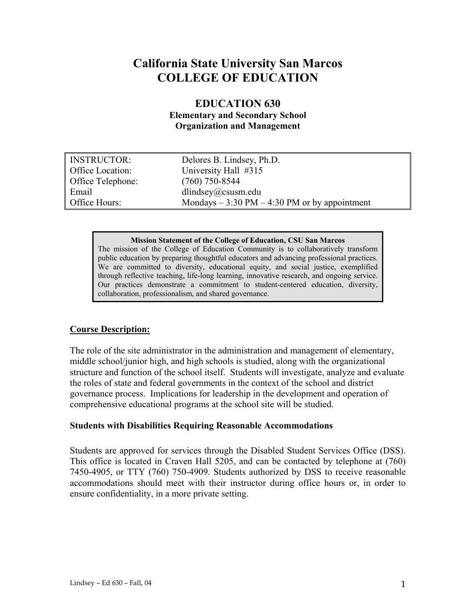# **California State University San Marcos COLLEGE OF EDUCATION**

# **EDUCATION 630**

**Elementary and Secondary School Organization and Management** 

| <b>INSTRUCTOR:</b> | Delores B. Lindsey, Ph.D.                                      |
|--------------------|----------------------------------------------------------------|
| Office Location:   | University Hall #315                                           |
| Office Telephone:  | $(760)$ 750-8544                                               |
| Email              | dlindsey@csusm.edu                                             |
| Office Hours:      | Mondays $-3:30 \text{ PM} - 4:30 \text{ PM}$ or by appointment |

#### **Mission Statement of the College of Education, CSU San Marcos**

The mission of the College of Education Community is to collaboratively transform public education by preparing thoughtful educators and advancing professional practices. We are committed to diversity, educational equity, and social justice, exemplified through reflective teaching, life-long learning, innovative research, and ongoing service. Our practices demonstrate a commitment to student-centered education, diversity, collaboration, professionalism, and shared governance.

## **Course Description:**

The role of the site administrator in the administration and management of elementary, middle school/junior high, and high schools is studied, along with the organizational structure and function of the school itself. Students will investigate, analyze and evaluate the roles of state and federal governments in the context of the school and district governance process. Implications for leadership in the development and operation of comprehensive educational programs at the school site will be studied.

## **Students with Disabilities Requiring Reasonable Accommodations**

Students are approved for services through the Disabled Student Services Office (DSS). This office is located in Craven Hall 5205, and can be contacted by telephone at (760) 7450-4905, or TTY (760) 750-4909. Students authorized by DSS to receive reasonable accommodations should meet with their instructor during office hours or, in order to ensure confidentiality, in a more private setting.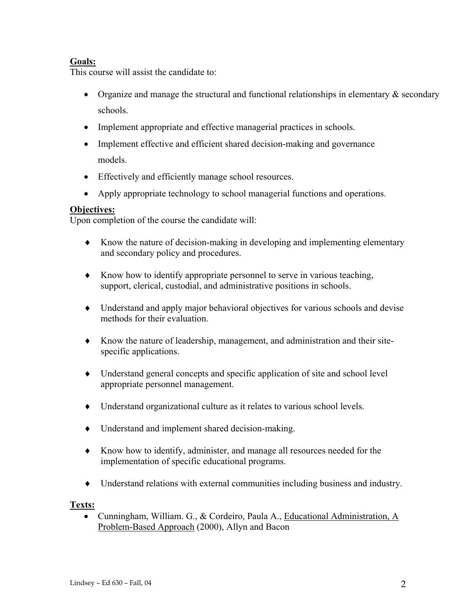# **Goals:**

This course will assist the candidate to:

- Organize and manage the structural and functional relationships in elementary  $\&$  secondary schools.
- Implement appropriate and effective managerial practices in schools.
- Implement effective and efficient shared decision-making and governance models.
- Effectively and efficiently manage school resources.
- Apply appropriate technology to school managerial functions and operations.

## **Objectives:**

Upon completion of the course the candidate will:

- ♦ Know the nature of decision-making in developing and implementing elementary and secondary policy and procedures.
- ♦ Know how to identify appropriate personnel to serve in various teaching, support, clerical, custodial, and administrative positions in schools.
- ♦ Understand and apply major behavioral objectives for various schools and devise methods for their evaluation.
- ♦ Know the nature of leadership, management, and administration and their sitespecific applications.
- ♦ Understand general concepts and specific application of site and school level appropriate personnel management.
- ♦ Understand organizational culture as it relates to various school levels.
- ♦ Understand and implement shared decision-making.
- ♦ Know how to identify, administer, and manage all resources needed for the implementation of specific educational programs.
- ♦ Understand relations with external communities including business and industry.

## **Texts:**

• Cunningham, William. G., & Cordeiro, Paula A., Educational Administration, A Problem-Based Approach (2000), Allyn and Bacon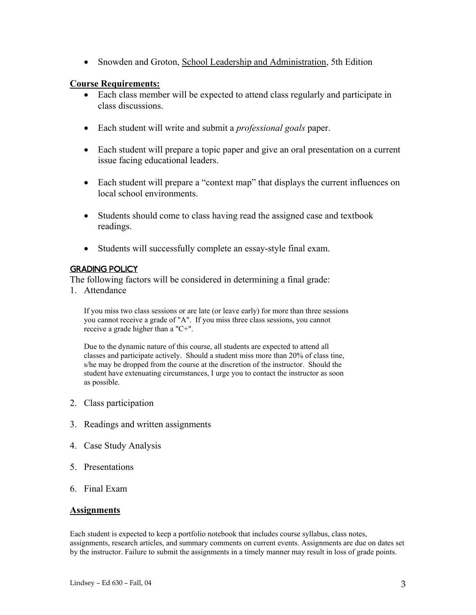• Snowden and Groton, School Leadership and Administration, 5th Edition

## **Course Requirements:**

- Each class member will be expected to attend class regularly and participate in class discussions.
- Each student will write and submit a *professional goals* paper.
- Each student will prepare a topic paper and give an oral presentation on a current issue facing educational leaders.
- Each student will prepare a "context map" that displays the current influences on local school environments.
- Students should come to class having read the assigned case and textbook readings.
- Students will successfully complete an essay-style final exam.

## GRADING POLICY

The following factors will be considered in determining a final grade:

1. Attendance

If you miss two class sessions or are late (or leave early) for more than three sessions you cannot receive a grade of "A". If you miss three class sessions, you cannot receive a grade higher than a "C+".

Due to the dynamic nature of this course, all students are expected to attend all classes and participate actively. Should a student miss more than 20% of class tine, s/he may be dropped from the course at the discretion of the instructor. Should the student have extenuating circumstances, I urge you to contact the instructor as soon as possible.

- 2. Class participation
- 3. Readings and written assignments
- 4. Case Study Analysis
- 5. Presentations
- 6. Final Exam

## **Assignments**

Each student is expected to keep a portfolio notebook that includes course syllabus, class notes, assignments, research articles, and summary comments on current events. Assignments are due on dates set by the instructor. Failure to submit the assignments in a timely manner may result in loss of grade points.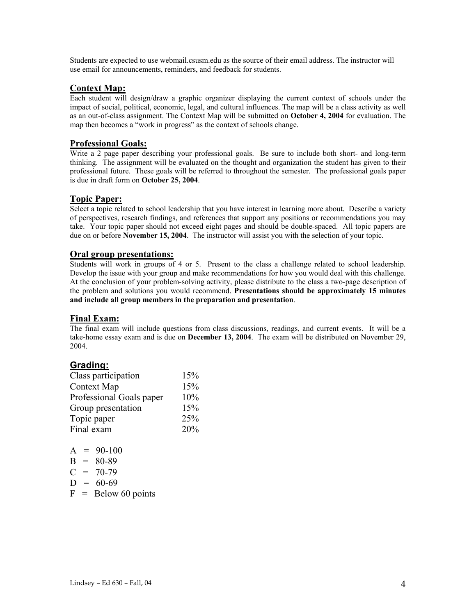Students are expected to use webmail.csusm.edu as the source of their email address. The instructor will use email for announcements, reminders, and feedback for students.

### **Context Map:**

Each student will design/draw a graphic organizer displaying the current context of schools under the impact of social, political, economic, legal, and cultural influences. The map will be a class activity as well as an out-of-class assignment. The Context Map will be submitted on **October 4, 2004** for evaluation. The map then becomes a "work in progress" as the context of schools change.

### **Professional Goals:**

Write a 2 page paper describing your professional goals. Be sure to include both short- and long-term thinking. The assignment will be evaluated on the thought and organization the student has given to their professional future. These goals will be referred to throughout the semester. The professional goals paper is due in draft form on **October 25, 2004**.

### **Topic Paper:**

Select a topic related to school leadership that you have interest in learning more about. Describe a variety of perspectives, research findings, and references that support any positions or recommendations you may take. Your topic paper should not exceed eight pages and should be double-spaced. All topic papers are due on or before **November 15, 2004**. The instructor will assist you with the selection of your topic.

#### **Oral group presentations:**

Students will work in groups of 4 or 5. Present to the class a challenge related to school leadership. Develop the issue with your group and make recommendations for how you would deal with this challenge. At the conclusion of your problem-solving activity, please distribute to the class a two-page description of the problem and solutions you would recommend. **Presentations should be approximately 15 minutes and include all group members in the preparation and presentation**.

### **Final Exam:**

The final exam will include questions from class discussions, readings, and current events. It will be a take-home essay exam and is due on **December 13, 2004**. The exam will be distributed on November 29, 2004.

### **Grading:**

| Class participation      | 15% |
|--------------------------|-----|
| <b>Context Map</b>       | 15% |
| Professional Goals paper | 10% |
| Group presentation       | 15% |
| Topic paper              | 25% |
| Final exam               | 20% |

|              | $A =$ | 90-100    |
|--------------|-------|-----------|
| B            | $=$   | 80-89     |
| $\mathbf{C}$ |       | $= 70-79$ |
| $\mathbf{D}$ | $=$   | 60-69     |

 $F =$  Below 60 points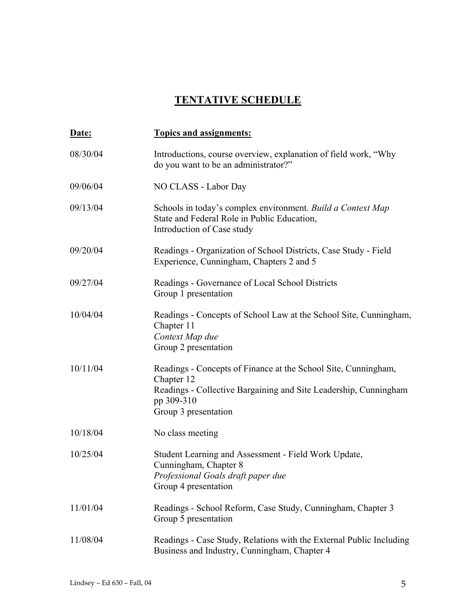# **TENTATIVE SCHEDULE**

| Date:    | <b>Topics and assignments:</b>                                                                                                                                                         |
|----------|----------------------------------------------------------------------------------------------------------------------------------------------------------------------------------------|
| 08/30/04 | Introductions, course overview, explanation of field work, "Why<br>do you want to be an administrator?"                                                                                |
| 09/06/04 | NO CLASS - Labor Day                                                                                                                                                                   |
| 09/13/04 | Schools in today's complex environment. Build a Context Map<br>State and Federal Role in Public Education,<br>Introduction of Case study                                               |
| 09/20/04 | Readings - Organization of School Districts, Case Study - Field<br>Experience, Cunningham, Chapters 2 and 5                                                                            |
| 09/27/04 | Readings - Governance of Local School Districts<br>Group 1 presentation                                                                                                                |
| 10/04/04 | Readings - Concepts of School Law at the School Site, Cunningham,<br>Chapter 11<br>Context Map due<br>Group 2 presentation                                                             |
| 10/11/04 | Readings - Concepts of Finance at the School Site, Cunningham,<br>Chapter 12<br>Readings - Collective Bargaining and Site Leadership, Cunningham<br>pp 309-310<br>Group 3 presentation |
| 10/18/04 | No class meeting                                                                                                                                                                       |
| 10/25/04 | Student Learning and Assessment - Field Work Update,<br>Cunningham, Chapter 8<br>Professional Goals draft paper due<br>Group 4 presentation                                            |
| 11/01/04 | Readings - School Reform, Case Study, Cunningham, Chapter 3<br>Group 5 presentation                                                                                                    |
| 11/08/04 | Readings - Case Study, Relations with the External Public Including<br>Business and Industry, Cunningham, Chapter 4                                                                    |